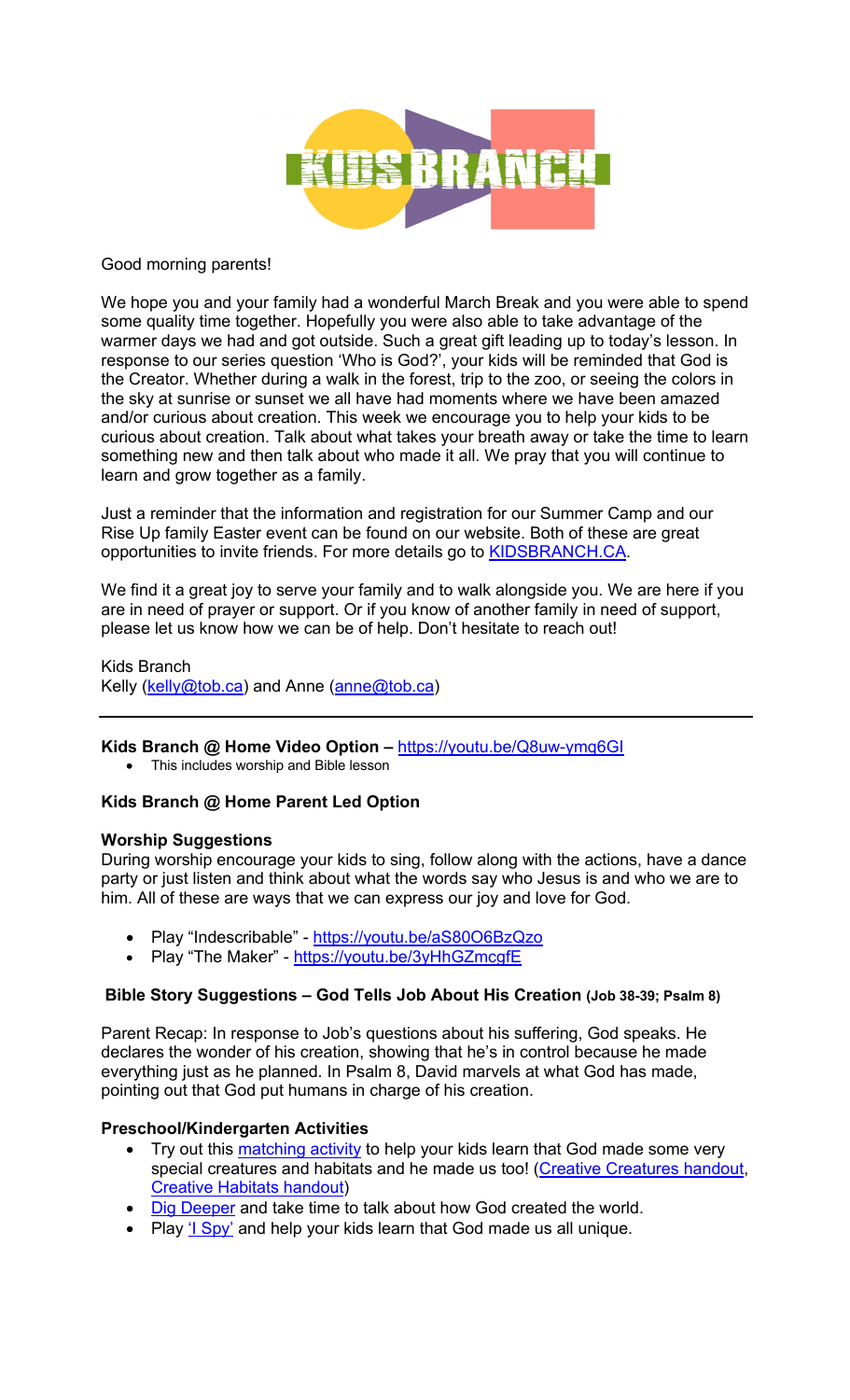

#### Good morning parents!

We hope you and your family had a wonderful March Break and you were able to spend some quality time together. Hopefully you were also able to take advantage of the warmer days we had and got outside. Such a great gift leading up to today's lesson. In response to our series question 'Who is God?', your kids will be reminded that God is the Creator. Whether during a walk in the forest, trip to the zoo, or seeing the colors in the sky at sunrise or sunset we all have had moments where we have been amazed and/or curious about creation. This week we encourage you to help your kids to be curious about creation. Talk about what takes your breath away or take the time to learn something new and then talk about who made it all. We pray that you will continue to learn and grow together as a family.

Just a reminder that the information and registration for our Summer Camp and our Rise Up family Easter event can be found on our website. Both of these are great opportunities to invite friends. For more details go to KIDSBRANCH.CA.

We find it a great joy to serve your family and to walk alongside you. We are here if you are in need of prayer or support. Or if you know of another family in need of support, please let us know how we can be of help. Don't hesitate to reach out!

Kids Branch Kelly (kelly@tob.ca) and Anne (anne@tob.ca)

## **Kids Branch @ Home Video Option –** https://youtu.be/Q8uw-ymq6GI

• This includes worship and Bible lesson

## **Kids Branch @ Home Parent Led Option**

#### **Worship Suggestions**

During worship encourage your kids to sing, follow along with the actions, have a dance party or just listen and think about what the words say who Jesus is and who we are to him. All of these are ways that we can express our joy and love for God.

- Play "Indescribable" https://youtu.be/aS80O6BzQzo
- Play "The Maker" https://youtu.be/3yHhGZmcgfE

## **Bible Story Suggestions – God Tells Job About His Creation (Job 38-39; Psalm 8)**

Parent Recap: In response to Job's questions about his suffering, God speaks. He declares the wonder of his creation, showing that he's in control because he made everything just as he planned. In Psalm 8, David marvels at what God has made, pointing out that God put humans in charge of his creation.

## **Preschool/Kindergarten Activities**

- Try out this matching activity to help your kids learn that God made some very special creatures and habitats and he made us too! (Creative Creatures handout, Creative Habitats handout)
- Dig Deeper and take time to talk about how God created the world.
- Play '<u>I Spy'</u> and help your kids learn that God made us all unique.